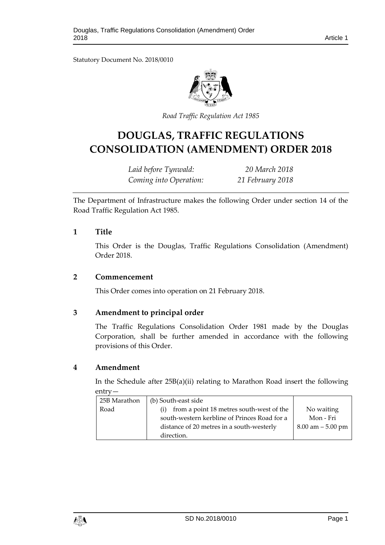Statutory Document No. 2018/0010



*Road Traffic Regulation A ct 1985*

# **DOUGLAS, TRAFFIC REGULATIONS CONSOLIDATION (AMENDMENT) ORDER 2018**

*Laid before Tynwald: 20 March 2018 Coming into Operation: 21 February 2018*

The Department of Infrastructure makes the following Order under section 14 of the Road Traffic Regulation Act 1985.

#### **1 Title**

This Order is the Douglas, Traffic Regulations Consolidation (Amendment) Order 2018.

#### **2 Commencement**

This Order comes into operation on 21 February 2018.

## **3 Amendment to principal order**

The Traffic Regulations Consolidation Order 1981 made by the Douglas Corporation, shall be further amended in accordance with the following provisions of this Order.

## **4 Amendment**

In the Schedule after 25B(a)(ii) relating to Marathon Road insert the following entry—

| 25B Marathon | (b) South-east side                          |                      |
|--------------|----------------------------------------------|----------------------|
| Road         | from a point 18 metres south-west of the     | No waiting           |
|              | south-western kerbline of Princes Road for a | Mon - Fri            |
|              | distance of 20 metres in a south-westerly    | $8.00$ am $-5.00$ pm |
|              | direction.                                   |                      |

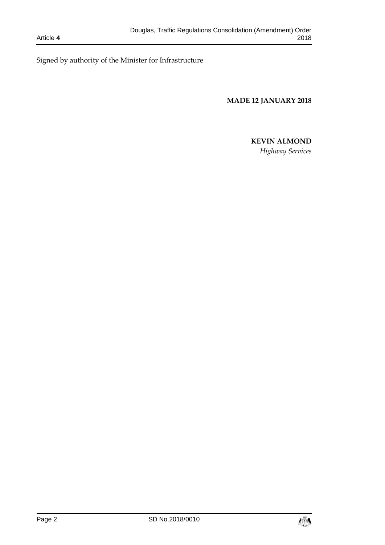Signed by authority of the Minister for Infrastructure

**MADE 12 JANUARY 2018**

# **KEVIN ALMOND**

*Highway Services*